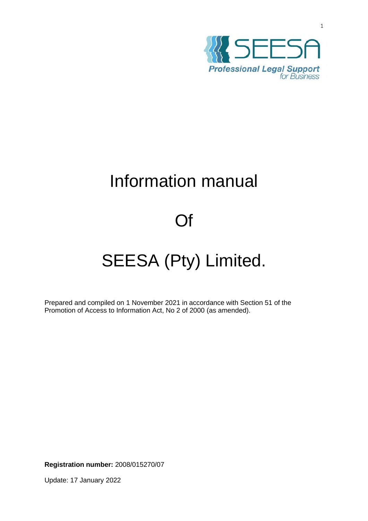

1

# Information manual

# Of

# SEESA (Pty) Limited.

Prepared and compiled on 1 November 2021 in accordance with Section 51 of the Promotion of Access to Information Act, No 2 of 2000 (as amended).

**Registration number:** 2008/015270/07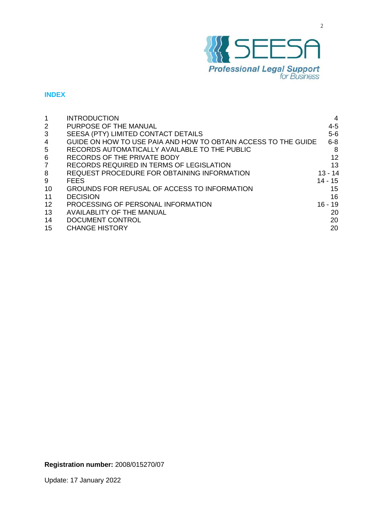

# **INDEX**

|    | <b>INTRODUCTION</b>                                            | 4         |
|----|----------------------------------------------------------------|-----------|
| 2  | PURPOSE OF THE MANUAL                                          | $4 - 5$   |
| 3  | SEESA (PTY) LIMITED CONTACT DETAILS                            | $5-6$     |
| 4  | GUIDE ON HOW TO USE PAIA AND HOW TO OBTAIN ACCESS TO THE GUIDE | $6 - 8$   |
| 5  | RECORDS AUTOMATICALLY AVAILABLE TO THE PUBLIC                  | 8         |
| 6  | RECORDS OF THE PRIVATE BODY                                    | 12        |
| 7  | <b>RECORDS REQUIRED IN TERMS OF LEGISLATION</b>                | 13        |
| 8  | REQUEST PROCEDURE FOR OBTAINING INFORMATION                    | 13 - 14   |
| 9  | <b>FEES</b>                                                    | 14 - 15   |
| 10 | GROUNDS FOR REFUSAL OF ACCESS TO INFORMATION                   | 15        |
| 11 | <b>DECISION</b>                                                | 16        |
| 12 | PROCESSING OF PERSONAL INFORMATION                             | $16 - 19$ |
| 13 | <b>AVAILABLITY OF THE MANUAL</b>                               | 20        |
| 14 | DOCUMENT CONTROL                                               | 20        |
| 15 | <b>CHANGE HISTORY</b>                                          | 20        |
|    |                                                                |           |

# **Registration number:** 2008/015270/07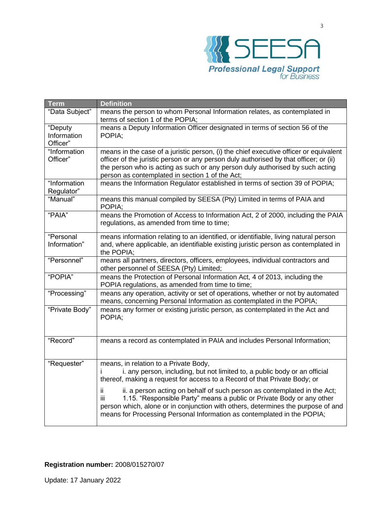

| Term           | <b>Definition</b>                                                                                                                                       |
|----------------|---------------------------------------------------------------------------------------------------------------------------------------------------------|
| "Data Subject" | means the person to whom Personal Information relates, as contemplated in                                                                               |
|                | terms of section 1 of the POPIA;                                                                                                                        |
| "Deputy        | means a Deputy Information Officer designated in terms of section 56 of the                                                                             |
| Information    | POPIA;                                                                                                                                                  |
| Officer"       |                                                                                                                                                         |
| "Information   | means in the case of a juristic person, (i) the chief executive officer or equivalent                                                                   |
| Officer"       | officer of the juristic person or any person duly authorised by that officer; or (ii)                                                                   |
|                | the person who is acting as such or any person duly authorised by such acting                                                                           |
|                | person as contemplated in section 1 of the Act;                                                                                                         |
| "Information   | means the Information Regulator established in terms of section 39 of POPIA;                                                                            |
| Regulator"     |                                                                                                                                                         |
| "Manual"       | means this manual compiled by SEESA (Pty) Limited in terms of PAIA and<br>POPIA;                                                                        |
| "PAIA"         | means the Promotion of Access to Information Act, 2 of 2000, including the PAIA                                                                         |
|                | regulations, as amended from time to time;                                                                                                              |
| "Personal      | means information relating to an identified, or identifiable, living natural person                                                                     |
| Information"   | and, where applicable, an identifiable existing juristic person as contemplated in                                                                      |
|                | the POPIA;                                                                                                                                              |
| "Personnel"    | means all partners, directors, officers, employees, individual contractors and                                                                          |
|                | other personnel of SEESA (Pty) Limited;                                                                                                                 |
| "POPIA"        | means the Protection of Personal Information Act, 4 of 2013, including the                                                                              |
|                | POPIA regulations, as amended from time to time;                                                                                                        |
| "Processing"   | means any operation, activity or set of operations, whether or not by automated<br>means, concerning Personal Information as contemplated in the POPIA; |
| "Private Body" | means any former or existing juristic person, as contemplated in the Act and                                                                            |
|                | POPIA;                                                                                                                                                  |
|                |                                                                                                                                                         |
| "Record"       | means a record as contemplated in PAIA and includes Personal Information;                                                                               |
|                |                                                                                                                                                         |
|                |                                                                                                                                                         |
| "Requester"    | means, in relation to a Private Body,                                                                                                                   |
|                | i. any person, including, but not limited to, a public body or an official<br>Ť                                                                         |
|                | thereof, making a request for access to a Record of that Private Body; or                                                                               |
|                | ii. a person acting on behalf of such person as contemplated in the Act;<br>ij.                                                                         |
|                | iii<br>1.15. "Responsible Party" means a public or Private Body or any other                                                                            |
|                | person which, alone or in conjunction with others, determines the purpose of and                                                                        |
|                | means for Processing Personal Information as contemplated in the POPIA;                                                                                 |
|                |                                                                                                                                                         |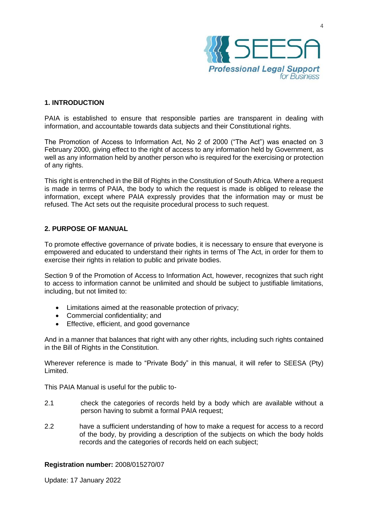

#### **1. INTRODUCTION**

PAIA is established to ensure that responsible parties are transparent in dealing with information, and accountable towards data subjects and their Constitutional rights.

The Promotion of Access to Information Act, No 2 of 2000 ("The Act") was enacted on 3 February 2000, giving effect to the right of access to any information held by Government, as well as any information held by another person who is required for the exercising or protection of any rights.

This right is entrenched in the Bill of Rights in the Constitution of South Africa. Where a request is made in terms of PAIA, the body to which the request is made is obliged to release the information, except where PAIA expressly provides that the information may or must be refused. The Act sets out the requisite procedural process to such request.

# **2. PURPOSE OF MANUAL**

To promote effective governance of private bodies, it is necessary to ensure that everyone is empowered and educated to understand their rights in terms of The Act, in order for them to exercise their rights in relation to public and private bodies.

Section 9 of the Promotion of Access to Information Act, however, recognizes that such right to access to information cannot be unlimited and should be subject to justifiable limitations, including, but not limited to:

- Limitations aimed at the reasonable protection of privacy;
- Commercial confidentiality; and
- Effective, efficient, and good governance

And in a manner that balances that right with any other rights, including such rights contained in the Bill of Rights in the Constitution.

Wherever reference is made to "Private Body" in this manual, it will refer to SEESA (Pty) Limited.

This PAIA Manual is useful for the public to-

- 2.1 check the categories of records held by a body which are available without a person having to submit a formal PAIA request;
- 2.2 have a sufficient understanding of how to make a request for access to a record of the body, by providing a description of the subjects on which the body holds records and the categories of records held on each subject;

#### **Registration number:** 2008/015270/07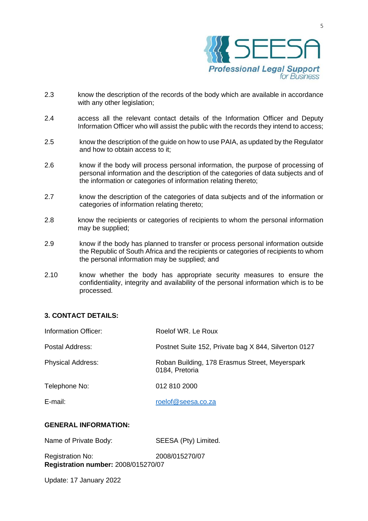

- 2.3 know the description of the records of the body which are available in accordance with any other legislation;
- 2.4 access all the relevant contact details of the Information Officer and Deputy Information Officer who will assist the public with the records they intend to access;
- 2.5 know the description of the guide on how to use PAIA, as updated by the Regulator and how to obtain access to it;
- 2.6 know if the body will process personal information, the purpose of processing of personal information and the description of the categories of data subjects and of the information or categories of information relating thereto;
- 2.7 know the description of the categories of data subjects and of the information or categories of information relating thereto;
- 2.8 know the recipients or categories of recipients to whom the personal information may be supplied;
- 2.9 know if the body has planned to transfer or process personal information outside the Republic of South Africa and the recipients or categories of recipients to whom the personal information may be supplied; and
- 2.10 know whether the body has appropriate security measures to ensure the confidentiality, integrity and availability of the personal information which is to be processed.

# **3. CONTACT DETAILS:**

| Roelof WR. Le Roux                                               |
|------------------------------------------------------------------|
| Postnet Suite 152, Private bag X 844, Silverton 0127             |
| Roban Building, 178 Erasmus Street, Meyerspark<br>0184, Pretoria |
| 012 810 2000                                                     |
| roelof@seesa.co.za                                               |
|                                                                  |

# **GENERAL INFORMATION:**

| Name of Private Body: | SEESA (Pty) Limited. |
|-----------------------|----------------------|
|-----------------------|----------------------|

**Registration number:** 2008/015270/07 Registration No: 2008/015270/07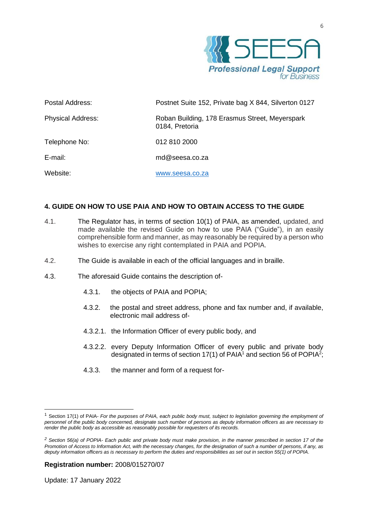

| Postal Address:          | Postnet Suite 152, Private bag X 844, Silverton 0127             |
|--------------------------|------------------------------------------------------------------|
| <b>Physical Address:</b> | Roban Building, 178 Erasmus Street, Meyerspark<br>0184, Pretoria |
| Telephone No:            | 012 810 2000                                                     |
| $E$ -mail:               | $md@$ seesa.co.za                                                |
| Website:                 | www.seesa.co.za                                                  |

# **4. GUIDE ON HOW TO USE PAIA AND HOW TO OBTAIN ACCESS TO THE GUIDE**

- 4.1. The Regulator has, in terms of section 10(1) of PAIA, as amended, updated, and made available the revised Guide on how to use PAIA ("Guide"), in an easily comprehensible form and manner, as may reasonably be required by a person who wishes to exercise any right contemplated in PAIA and POPIA.
- 4.2. The Guide is available in each of the official languages and in braille.
- 4.3. The aforesaid Guide contains the description of-
	- 4.3.1. the objects of PAIA and POPIA;
	- 4.3.2. the postal and street address, phone and fax number and, if available, electronic mail address of-
	- 4.3.2.1. the Information Officer of every public body, and
	- 4.3.2.2. every Deputy Information Officer of every public and private body designated in terms of section 17(1) of PAIA<sup>1</sup> and section 56 of POPIA<sup>2</sup>;
	- 4.3.3. the manner and form of a request for-

#### **Registration number:** 2008/015270/07

<sup>1</sup> Section 17(1) of PAIA- *For the purposes of PAIA, each public body must, subject to legislation governing the employment of personnel of the public body concerned, designate such number of persons as deputy information officers as are necessary to render the public body as accessible as reasonably possible for requesters of its records.*

*<sup>2</sup> Section 56(a) of POPIA- Each public and private body must make provision, in the manner prescribed in section 17 of the Promotion of Access to Information Act, with the necessary changes, for the designation of such a number of persons, if any, as deputy information officers as is necessary to perform the duties and responsibilities as set out in section 55(1) of POPIA.*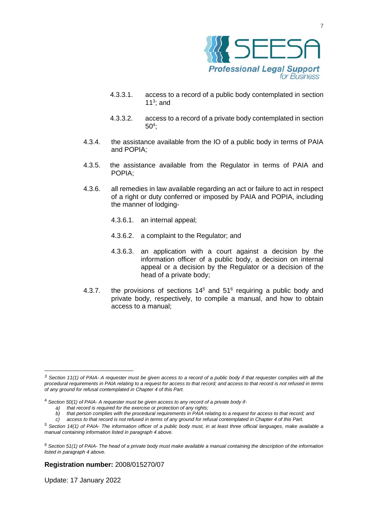

7

- 4.3.3.1. access to a record of a public body contemplated in section 11 $3$ ; and
- 4.3.3.2. access to a record of a private body contemplated in section  $50<sup>4</sup>$ ;
- 4.3.4. the assistance available from the IO of a public body in terms of PAIA and POPIA;
- 4.3.5. the assistance available from the Regulator in terms of PAIA and POPIA;
- 4.3.6. all remedies in law available regarding an act or failure to act in respect of a right or duty conferred or imposed by PAIA and POPIA, including the manner of lodging-
	- 4.3.6.1. an internal appeal;
	- 4.3.6.2. a complaint to the Regulator; and
	- 4.3.6.3. an application with a court against a decision by the information officer of a public body, a decision on internal appeal or a decision by the Regulator or a decision of the head of a private body;
- 4.3.7. the provisions of sections  $14<sup>5</sup>$  and  $51<sup>6</sup>$  requiring a public body and private body, respectively, to compile a manual, and how to obtain access to a manual;

*c) access to that record is not refused in terms of any ground for refusal contemplated in Chapter 4 of this Part.*

#### **Registration number:** 2008/015270/07

*<sup>3</sup> Section 11(1) of PAIA- A requester must be given access to a record of a public body if that requester complies with all the procedural requirements in PAIA relating to a request for access to that record; and access to that record is not refused in terms of any ground for refusal contemplated in Chapter 4 of this Part.*

<sup>4</sup> *Section 50(1) of PAIA- A requester must be given access to any record of a private body if-*

*a) that record is required for the exercise or protection of any rights;*

*b) that person complies with the procedural requirements in PAIA relating to a request for access to that record; and*

*<sup>5</sup> Section 14(1) of PAIA- The information officer of a public body must, in at least three official languages, make available a manual containing information listed in paragraph 4 above.*

*<sup>6</sup> Section 51(1) of PAIA- The head of a private body must make available a manual containing the description of the information listed in paragraph 4 above.*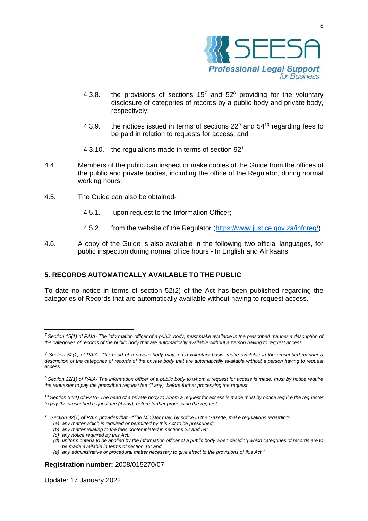

- 4.3.8. the provisions of sections  $15<sup>7</sup>$  and  $52<sup>8</sup>$  providing for the voluntary disclosure of categories of records by a public body and private body, respectively;
- 4.3.9. the notices issued in terms of sections  $22^9$  and  $54^{10}$  regarding fees to be paid in relation to requests for access; and
- 4.3.10. the regulations made in terms of section 92<sup>11</sup>.
- 4.4. Members of the public can inspect or make copies of the Guide from the offices of the public and private bodies, including the office of the Regulator, during normal working hours.
- 4.5. The Guide can also be obtained-
	- 4.5.1. upon request to the Information Officer;
	- 4.5.2. from the website of the Regulator [\(https://www.justice.gov.za/inforeg/\)](https://www.justice.gov.za/inforeg/).
- 4.6. A copy of the Guide is also available in the following two official languages, for public inspection during normal office hours - In English and Afrikaans.

# **5. RECORDS AUTOMATICALLY AVAILABLE TO THE PUBLIC**

To date no notice in terms of section 52(2) of the Act has been published regarding the categories of Records that are automatically available without having to request access.

*(b) any matter relating to the fees contemplated in sections 22 and 54;*

*(e) any administrative or procedural matter necessary to give effect to the provisions of this Act."*

#### **Registration number:** 2008/015270/07

*<sup>7</sup> Section 15(1) of PAIA- The information officer of a public body, must make available in the prescribed manner a description of the categories of records of the public body that are automatically available without a person having to request access*

*<sup>8</sup> Section 52(1) of PAIA- The head of a private body may, on a voluntary basis, make available in the prescribed manner a description of the categories of records of the private body that are automatically available without a person having to request access*

*<sup>9</sup> Section 22(1) of PAIA- The information officer of a public body to whom a request for access is made, must by notice require the requester to pay the prescribed request fee (if any), before further processing the request.*

<sup>10</sup> *Section 54(1) of PAIA- The head of a private body to whom a request for access is made must by notice require the requester to pay the prescribed request fee (if any), before further processing the request.*

*<sup>11</sup> Section 92(1) of PAIA provides that –"The Minister may, by notice in the Gazette, make regulations regarding-*

*<sup>(</sup>a) any matter which is required or permitted by this Act to be prescribed;*

*<sup>(</sup>c) any notice required by this Act;*

*<sup>(</sup>d) uniform criteria to be applied by the information officer of a public body when deciding which categories of records are to be made available in terms of section 15; and*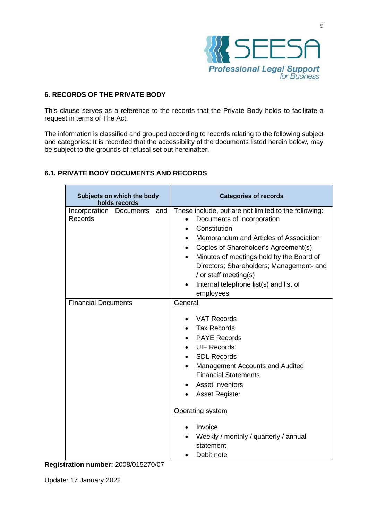

# **6. RECORDS OF THE PRIVATE BODY**

This clause serves as a reference to the records that the Private Body holds to facilitate a request in terms of The Act.

The information is classified and grouped according to records relating to the following subject and categories: It is recorded that the accessibility of the documents listed herein below, may be subject to the grounds of refusal set out hereinafter.

# **6.1. PRIVATE BODY DOCUMENTS AND RECORDS**

| Subjects on which the body<br>holds records | <b>Categories of records</b>                                                                                                                                                                                                                                                                                                                                                                        |
|---------------------------------------------|-----------------------------------------------------------------------------------------------------------------------------------------------------------------------------------------------------------------------------------------------------------------------------------------------------------------------------------------------------------------------------------------------------|
| Incorporation Documents<br>and<br>Records   | These include, but are not limited to the following:<br>Documents of Incorporation<br>Constitution<br>$\bullet$<br>Memorandum and Articles of Association<br>Copies of Shareholder's Agreement(s)<br>$\bullet$<br>Minutes of meetings held by the Board of<br>$\bullet$<br>Directors; Shareholders; Management- and<br>/ or staff meeting(s)<br>Internal telephone list(s) and list of<br>employees |
| <b>Financial Documents</b>                  | General<br><b>VAT Records</b><br><b>Tax Records</b><br><b>PAYE Records</b><br><b>UIF Records</b><br><b>SDL Records</b><br>Management Accounts and Audited<br><b>Financial Statements</b><br><b>Asset Inventors</b><br><b>Asset Register</b>                                                                                                                                                         |
|                                             | Operating system<br>Invoice<br>Weekly / monthly / quarterly / annual<br>statement<br>Debit note                                                                                                                                                                                                                                                                                                     |

**Registration number:** 2008/015270/07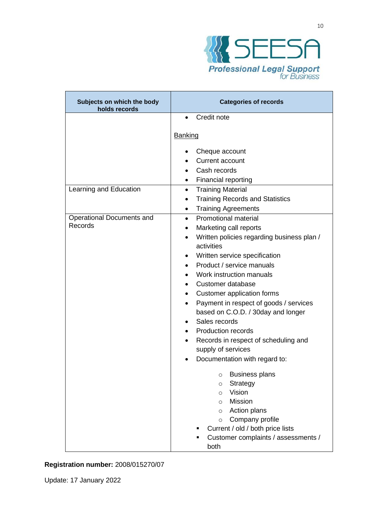

| Subjects on which the body<br>holds records | <b>Categories of records</b>                                                                                                                                                                                                                                                                                                                                                                                                                                                                                                                    |  |
|---------------------------------------------|-------------------------------------------------------------------------------------------------------------------------------------------------------------------------------------------------------------------------------------------------------------------------------------------------------------------------------------------------------------------------------------------------------------------------------------------------------------------------------------------------------------------------------------------------|--|
|                                             | Credit note<br>$\bullet$                                                                                                                                                                                                                                                                                                                                                                                                                                                                                                                        |  |
|                                             | Banking                                                                                                                                                                                                                                                                                                                                                                                                                                                                                                                                         |  |
| Learning and Education                      | Cheque account<br><b>Current account</b><br>Cash records<br><b>Financial reporting</b><br>$\bullet$<br><b>Training Material</b><br>$\bullet$                                                                                                                                                                                                                                                                                                                                                                                                    |  |
|                                             | <b>Training Records and Statistics</b><br>$\bullet$<br><b>Training Agreements</b><br>$\bullet$                                                                                                                                                                                                                                                                                                                                                                                                                                                  |  |
| <b>Operational Documents and</b><br>Records | <b>Promotional material</b><br>$\bullet$<br>Marketing call reports<br>$\bullet$<br>Written policies regarding business plan /<br>activities<br>Written service specification<br>Product / service manuals<br>Work instruction manuals<br>Customer database<br>Customer application forms<br>$\bullet$<br>Payment in respect of goods / services<br>based on C.O.D. / 30day and longer<br>Sales records<br><b>Production records</b><br>$\bullet$<br>Records in respect of scheduling and<br>supply of services<br>Documentation with regard to: |  |
|                                             | <b>Business plans</b><br>$\circ$<br>Strategy<br>$\circ$<br>Vision<br>$\circ$<br><b>Mission</b><br>$\circ$<br>Action plans<br>$\circ$<br>Company profile<br>$\circ$<br>Current / old / both price lists<br>Customer complaints / assessments /<br>both                                                                                                                                                                                                                                                                                           |  |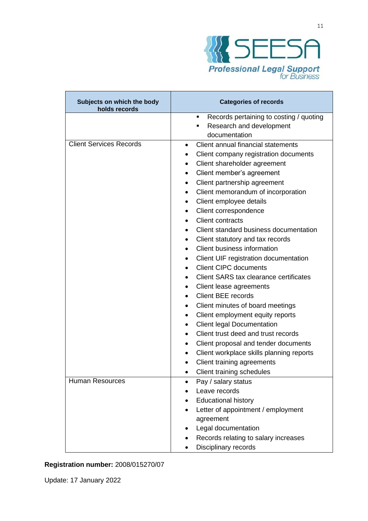

| Subjects on which the body<br>holds records | <b>Categories of records</b>                    |
|---------------------------------------------|-------------------------------------------------|
|                                             | Records pertaining to costing / quoting<br>٠    |
|                                             | Research and development<br>п                   |
|                                             | documentation                                   |
| <b>Client Services Records</b>              | Client annual financial statements<br>$\bullet$ |
|                                             | Client company registration documents           |
|                                             | Client shareholder agreement<br>$\bullet$       |
|                                             | Client member's agreement                       |
|                                             | Client partnership agreement<br>٠               |
|                                             | Client memorandum of incorporation<br>٠         |
|                                             | Client employee details<br>$\bullet$            |
|                                             | Client correspondence                           |
|                                             | <b>Client contracts</b>                         |
|                                             | Client standard business documentation          |
|                                             | Client statutory and tax records<br>٠           |
|                                             | Client business information                     |
|                                             | Client UIF registration documentation           |
|                                             | <b>Client CIPC documents</b>                    |
|                                             | Client SARS tax clearance certificates          |
|                                             | Client lease agreements<br>$\bullet$            |
|                                             | <b>Client BEE records</b>                       |
|                                             | Client minutes of board meetings<br>٠           |
|                                             | Client employment equity reports<br>٠           |
|                                             | <b>Client legal Documentation</b><br>$\bullet$  |
|                                             | Client trust deed and trust records             |
|                                             | Client proposal and tender documents            |
|                                             | Client workplace skills planning reports<br>٠   |
|                                             | Client training agreements                      |
|                                             | Client training schedules                       |
| <b>Human Resources</b>                      | Pay / salary status                             |
|                                             | Leave records                                   |
|                                             | <b>Educational history</b>                      |
|                                             | Letter of appointment / employment              |
|                                             | agreement                                       |
|                                             | Legal documentation                             |
|                                             | Records relating to salary increases            |
|                                             | Disciplinary records                            |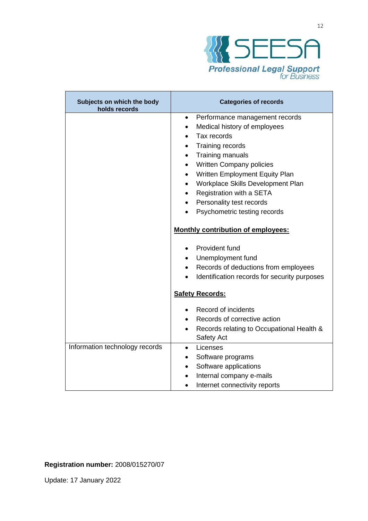

| Subjects on which the body<br>holds records | <b>Categories of records</b>                                         |
|---------------------------------------------|----------------------------------------------------------------------|
|                                             | Performance management records<br>$\bullet$                          |
|                                             | Medical history of employees                                         |
|                                             | Tax records                                                          |
|                                             | Training records                                                     |
|                                             | Training manuals<br>$\bullet$                                        |
|                                             | Written Company policies<br>$\bullet$                                |
|                                             | Written Employment Equity Plan<br>$\bullet$                          |
|                                             | Workplace Skills Development Plan                                    |
|                                             | Registration with a SETA<br>$\bullet$                                |
|                                             | Personality test records                                             |
|                                             | Psychometric testing records                                         |
|                                             | <b>Monthly contribution of employees:</b>                            |
|                                             | Provident fund                                                       |
|                                             | Unemployment fund                                                    |
|                                             | Records of deductions from employees<br>$\bullet$                    |
|                                             | Identification records for security purposes                         |
|                                             | <b>Safety Records:</b>                                               |
|                                             | Record of incidents                                                  |
|                                             | Records of corrective action                                         |
|                                             | Records relating to Occupational Health &<br>$\bullet$<br>Safety Act |
| Information technology records              | Licenses<br>$\bullet$                                                |
|                                             | Software programs                                                    |
|                                             | Software applications<br>$\bullet$                                   |
|                                             | Internal company e-mails<br>$\bullet$                                |
|                                             | Internet connectivity reports                                        |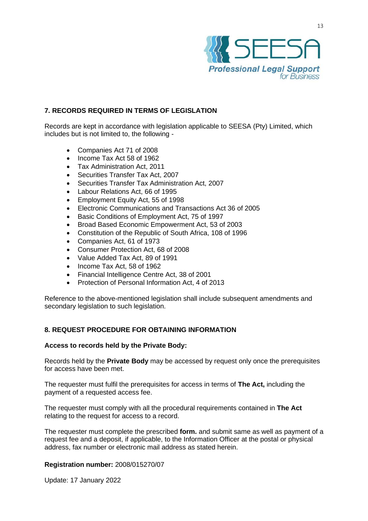

# **7. RECORDS REQUIRED IN TERMS OF LEGISLATION**

Records are kept in accordance with legislation applicable to SEESA (Pty) Limited, which includes but is not limited to, the following -

- Companies Act 71 of 2008
- Income Tax Act 58 of 1962
- Tax Administration Act, 2011
- Securities Transfer Tax Act, 2007
- Securities Transfer Tax Administration Act, 2007
- Labour Relations Act, 66 of 1995
- Employment Equity Act, 55 of 1998
- Electronic Communications and Transactions Act 36 of 2005
- Basic Conditions of Employment Act, 75 of 1997
- Broad Based Economic Empowerment Act, 53 of 2003
- Constitution of the Republic of South Africa, 108 of 1996
- Companies Act, 61 of 1973
- Consumer Protection Act, 68 of 2008
- Value Added Tax Act, 89 of 1991
- Income Tax Act, 58 of 1962
- Financial Intelligence Centre Act, 38 of 2001
- Protection of Personal Information Act, 4 of 2013

Reference to the above-mentioned legislation shall include subsequent amendments and secondary legislation to such legislation.

# **8. REQUEST PROCEDURE FOR OBTAINING INFORMATION**

#### **Access to records held by the Private Body:**

Records held by the **Private Body** may be accessed by request only once the prerequisites for access have been met.

The requester must fulfil the prerequisites for access in terms of **The Act,** including the payment of a requested access fee.

The requester must comply with all the procedural requirements contained in **The Act** relating to the request for access to a record.

The requester must complete the prescribed **form.** and submit same as well as payment of a request fee and a deposit, if applicable, to the Information Officer at the postal or physical address, fax number or electronic mail address as stated herein.

#### **Registration number:** 2008/015270/07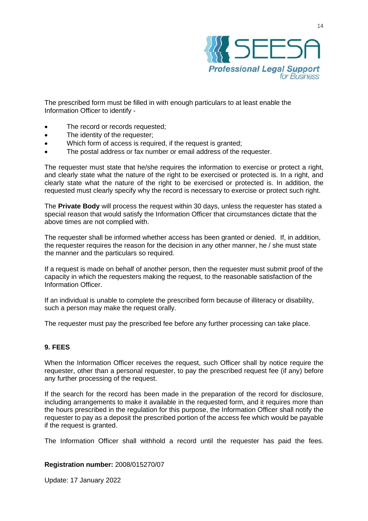

The prescribed form must be filled in with enough particulars to at least enable the Information Officer to identify -

- The record or records requested:
- The identity of the requester;
- Which form of access is required, if the request is granted;
- The postal address or fax number or email address of the requester.

The requester must state that he/she requires the information to exercise or protect a right, and clearly state what the nature of the right to be exercised or protected is. In a right, and clearly state what the nature of the right to be exercised or protected is. In addition, the requested must clearly specify why the record is necessary to exercise or protect such right.

The **Private Body** will process the request within 30 days, unless the requester has stated a special reason that would satisfy the Information Officer that circumstances dictate that the above times are not complied with.

The requester shall be informed whether access has been granted or denied. If, in addition, the requester requires the reason for the decision in any other manner, he / she must state the manner and the particulars so required.

If a request is made on behalf of another person, then the requester must submit proof of the capacity in which the requesters making the request, to the reasonable satisfaction of the Information Officer.

If an individual is unable to complete the prescribed form because of illiteracy or disability, such a person may make the request orally.

The requester must pay the prescribed fee before any further processing can take place.

# **9. FEES**

When the Information Officer receives the request, such Officer shall by notice require the requester, other than a personal requester, to pay the prescribed request fee (if any) before any further processing of the request.

If the search for the record has been made in the preparation of the record for disclosure, including arrangements to make it available in the requested form, and it requires more than the hours prescribed in the regulation for this purpose, the Information Officer shall notify the requester to pay as a deposit the prescribed portion of the access fee which would be payable if the request is granted.

The Information Officer shall withhold a record until the requester has paid the fees.

#### **Registration number:** 2008/015270/07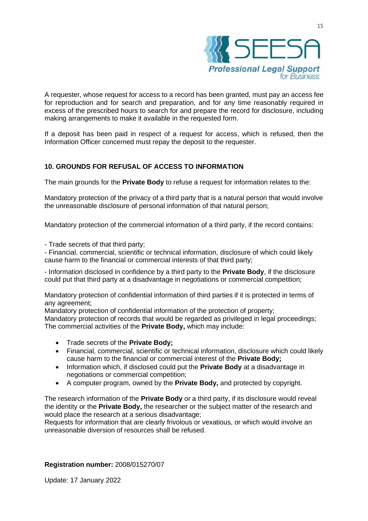

A requester, whose request for access to a record has been granted, must pay an access fee for reproduction and for search and preparation, and for any time reasonably required in excess of the prescribed hours to search for and prepare the record for disclosure, including making arrangements to make it available in the requested form.

If a deposit has been paid in respect of a request for access, which is refused, then the Information Officer concerned must repay the deposit to the requester.

# **10. GROUNDS FOR REFUSAL OF ACCESS TO INFORMATION**

The main grounds for the **Private Body** to refuse a request for information relates to the:

Mandatory protection of the privacy of a third party that is a natural person that would involve the unreasonable disclosure of personal information of that natural person;

Mandatory protection of the commercial information of a third party, if the record contains:

- Trade secrets of that third party;

- Financial, commercial, scientific or technical information, disclosure of which could likely cause harm to the financial or commercial interests of that third party;

- Information disclosed in confidence by a third party to the **Private Body**, if the disclosure could put that third party at a disadvantage in negotiations or commercial competition;

Mandatory protection of confidential information of third parties if it is protected in terms of any agreement;

Mandatory protection of confidential information of the protection of property;

Mandatory protection of records that would be regarded as privileged in legal proceedings; The commercial activities of the **Private Body,** which may include:

- Trade secrets of the **Private Body;**
- Financial, commercial, scientific or technical information, disclosure which could likely cause harm to the financial or commercial interest of the **Private Body;**
- Information which, if disclosed could put the **Private Body** at a disadvantage in negotiations or commercial competition;
- A computer program, owned by the **Private Body,** and protected by copyright.

The research information of the **Private Body** or a third party, if its disclosure would reveal the identity or the **Private Body,** the researcher or the subject matter of the research and would place the research at a serious disadvantage;

Requests for information that are clearly frivolous or vexatious, or which would involve an unreasonable diversion of resources shall be refused.

#### **Registration number:** 2008/015270/07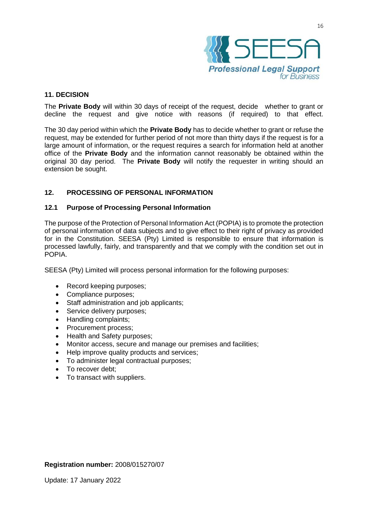

#### **11. DECISION**

The **Private Body** will within 30 days of receipt of the request, decide whether to grant or decline the request and give notice with reasons (if required) to that effect.

The 30 day period within which the **Private Body** has to decide whether to grant or refuse the request, may be extended for further period of not more than thirty days if the request is for a large amount of information, or the request requires a search for information held at another office of the **Private Body** and the information cannot reasonably be obtained within the original 30 day period. The **Private Body** will notify the requester in writing should an extension be sought.

# **12. PROCESSING OF PERSONAL INFORMATION**

#### **12.1 Purpose of Processing Personal Information**

The purpose of the Protection of Personal Information Act (POPIA) is to promote the protection of personal information of data subjects and to give effect to their right of privacy as provided for in the Constitution. SEESA (Pty) Limited is responsible to ensure that information is processed lawfully, fairly, and transparently and that we comply with the condition set out in POPIA.

SEESA (Pty) Limited will process personal information for the following purposes:

- Record keeping purposes;
- Compliance purposes;
- Staff administration and job applicants;
- Service delivery purposes;
- Handling complaints;
- Procurement process;
- Health and Safety purposes;
- Monitor access, secure and manage our premises and facilities;
- Help improve quality products and services;
- To administer legal contractual purposes;
- To recover debt;
- To transact with suppliers.

#### **Registration number:** 2008/015270/07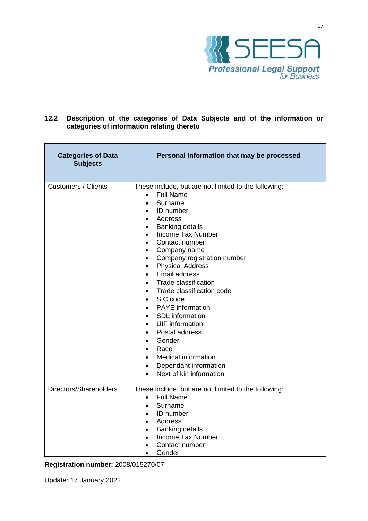

# **12.2 Description of the categories of Data Subjects and of the information or categories of information relating thereto**

| <b>Categories of Data</b><br><b>Subjects</b> | Personal Information that may be processed                                                                                                                                                                                                                                                                                                                                                                                                                                                                                                                                                                                                                                                                                                                                                                            |
|----------------------------------------------|-----------------------------------------------------------------------------------------------------------------------------------------------------------------------------------------------------------------------------------------------------------------------------------------------------------------------------------------------------------------------------------------------------------------------------------------------------------------------------------------------------------------------------------------------------------------------------------------------------------------------------------------------------------------------------------------------------------------------------------------------------------------------------------------------------------------------|
| <b>Customers / Clients</b>                   | These include, but are not limited to the following:<br><b>Full Name</b><br>$\bullet$<br>Surname<br>$\bullet$<br>ID number<br>$\bullet$<br>Address<br>$\bullet$<br><b>Banking details</b><br>$\bullet$<br><b>Income Tax Number</b><br>$\bullet$<br>Contact number<br>$\bullet$<br>Company name<br>٠<br>Company registration number<br>٠<br><b>Physical Address</b><br>$\bullet$<br><b>Email address</b><br>$\bullet$<br>Trade classification<br>$\bullet$<br>Trade classification code<br>$\bullet$<br>SIC code<br>$\bullet$<br><b>PAYE</b> information<br>$\bullet$<br>SDL information<br>$\bullet$<br><b>UIF</b> information<br>Postal address<br>$\bullet$<br>Gender<br>$\bullet$<br>Race<br>$\bullet$<br><b>Medical information</b><br>$\bullet$<br>Dependant information<br>$\bullet$<br>Next of kin information |
| Directors/Shareholders                       | These include, but are not limited to the following:<br><b>Full Name</b><br>$\bullet$<br>Surname<br>$\bullet$<br><b>ID</b> number<br>$\bullet$<br>Address<br>$\bullet$<br><b>Banking details</b><br>$\bullet$<br>Income Tax Number<br>$\bullet$<br>Contact number<br>$\bullet$<br>Gender                                                                                                                                                                                                                                                                                                                                                                                                                                                                                                                              |

**Registration number:** 2008/015270/07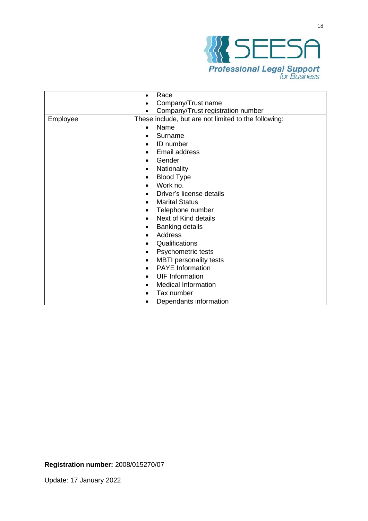

|          | Race                                                 |
|----------|------------------------------------------------------|
|          | Company/Trust name                                   |
|          | Company/Trust registration number                    |
| Employee | These include, but are not limited to the following: |
|          | Name<br>$\bullet$                                    |
|          | Surname                                              |
|          | <b>ID</b> number<br>$\bullet$                        |
|          |                                                      |
|          | Email address<br>$\bullet$                           |
|          | Gender<br>$\bullet$                                  |
|          | Nationality<br>٠                                     |
|          | <b>Blood Type</b>                                    |
|          | Work no.                                             |
|          | Driver's license details                             |
|          | <b>Marital Status</b><br>$\bullet$                   |
|          | Telephone number<br>٠                                |
|          | Next of Kind details<br>$\bullet$                    |
|          | <b>Banking details</b><br>٠                          |
|          | Address<br>$\bullet$                                 |
|          | Qualifications<br>$\bullet$                          |
|          | Psychometric tests                                   |
|          | <b>MBTI</b> personality tests<br>٠                   |
|          | <b>PAYE</b> Information                              |
|          | <b>UIF</b> Information<br>$\bullet$                  |
|          | <b>Medical Information</b>                           |
|          | Tax number                                           |
|          | Dependants information<br>$\bullet$                  |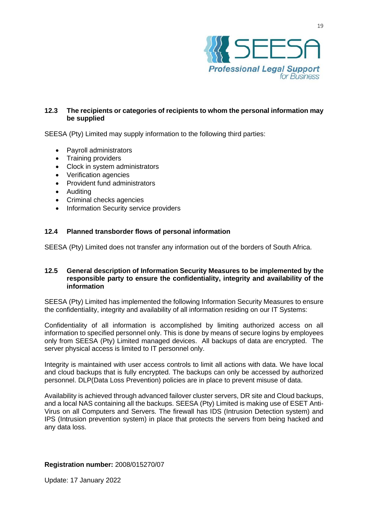

# **12.3 The recipients or categories of recipients to whom the personal information may be supplied**

SEESA (Pty) Limited may supply information to the following third parties:

- Payroll administrators
- Training providers
- Clock in system administrators
- Verification agencies
- Provident fund administrators
- Auditing
- Criminal checks agencies
- Information Security service providers

#### **12.4 Planned transborder flows of personal information**

SEESA (Pty) Limited does not transfer any information out of the borders of South Africa.

#### **12.5 General description of Information Security Measures to be implemented by the responsible party to ensure the confidentiality, integrity and availability of the information**

SEESA (Pty) Limited has implemented the following Information Security Measures to ensure the confidentiality, integrity and availability of all information residing on our IT Systems:

Confidentiality of all information is accomplished by limiting authorized access on all information to specified personnel only. This is done by means of secure logins by employees only from SEESA (Pty) Limited managed devices. All backups of data are encrypted. The server physical access is limited to IT personnel only.

Integrity is maintained with user access controls to limit all actions with data. We have local and cloud backups that is fully encrypted. The backups can only be accessed by authorized personnel. DLP(Data Loss Prevention) policies are in place to prevent misuse of data.

Availability is achieved through advanced failover cluster servers, DR site and Cloud backups, and a local NAS containing all the backups. SEESA (Pty) Limited is making use of ESET Anti-Virus on all Computers and Servers. The firewall has IDS (Intrusion Detection system) and IPS (Intrusion prevention system) in place that protects the servers from being hacked and any data loss.

#### **Registration number:** 2008/015270/07